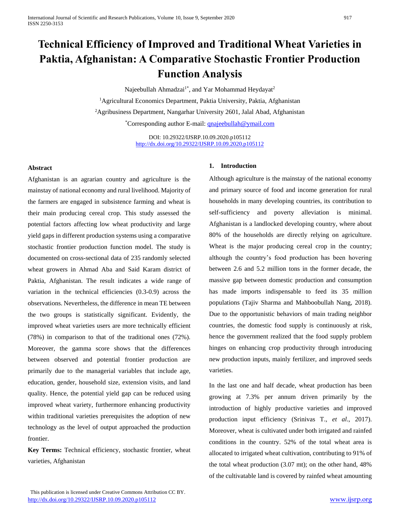# **Technical Efficiency of Improved and Traditional Wheat Varieties in Paktia, Afghanistan: A Comparative Stochastic Frontier Production Function Analysis**

Najeebullah Ahmadzai<sup>1\*</sup>, and Yar Mohammad Heydayat<sup>2</sup> <sup>1</sup>Agricultural Economics Department, Paktia University, Paktia, Afghanistan <sup>2</sup>Agribusiness Department, Nangarhar University 2601, Jalal Abad, Afghanistan \*Corresponding author E-mail: [qnajeebullah@ymail.com](mailto:qnajeebullah@ymail.com)

> DOI: 10.29322/IJSRP.10.09.2020.p105112 <http://dx.doi.org/10.29322/IJSRP.10.09.2020.p105112>

#### **Abstract**

Afghanistan is an agrarian country and agriculture is the mainstay of national economy and rural livelihood. Majority of the farmers are engaged in subsistence farming and wheat is their main producing cereal crop. This study assessed the potential factors affecting low wheat productivity and large yield gaps in different production systems using a comparative stochastic frontier production function model. The study is documented on cross-sectional data of 235 randomly selected wheat growers in Ahmad Aba and Said Karam district of Paktia, Afghanistan. The result indicates a wide range of variation in the technical efficiencies (0.3-0.9) across the observations. Nevertheless, the difference in mean TE between the two groups is statistically significant. Evidently, the improved wheat varieties users are more technically efficient (78%) in comparison to that of the traditional ones (72%). Moreover, the gamma score shows that the differences between observed and potential frontier production are primarily due to the managerial variables that include age, education, gender, household size, extension visits, and land quality. Hence, the potential yield gap can be reduced using improved wheat variety, furthermore enhancing productivity within traditional varieties prerequisites the adoption of new technology as the level of output approached the production frontier.

**Key Terms:** Technical efficiency, stochastic frontier, wheat varieties, Afghanistan

## **1. Introduction**

Although agriculture is the mainstay of the national economy and primary source of food and income generation for rural households in many developing countries, its contribution to self-sufficiency and poverty alleviation is minimal. Afghanistan is a landlocked developing country, where about 80% of the households are directly relying on agriculture. Wheat is the major producing cereal crop in the country; although the country's food production has been hovering between 2.6 and 5.2 million tons in the former decade, the massive gap between domestic production and consumption has made imports indispensable to feed its 35 million populations (Tajiv Sharma and Mahboobullah Nang, 2018). Due to the opportunistic behaviors of main trading neighbor countries, the domestic food supply is continuously at risk, hence the government realized that the food supply problem hinges on enhancing crop productivity through introducing new production inputs, mainly fertilizer, and improved seeds varieties.

In the last one and half decade, wheat production has been growing at 7.3% per annum driven primarily by the introduction of highly productive varieties and improved production input efficiency (Srinivas T., *et al*., 2017). Moreover, wheat is cultivated under both irrigated and rainfed conditions in the country. 52% of the total wheat area is allocated to irrigated wheat cultivation, contributing to 91% of the total wheat production (3.07 mt); on the other hand, 48% of the cultivatable land is covered by rainfed wheat amounting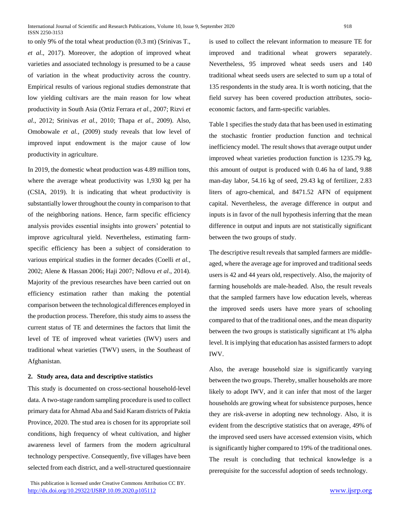to only 9% of the total wheat production (0.3 mt) (Srinivas T., *et al*., 2017). Moreover, the adoption of improved wheat varieties and associated technology is presumed to be a cause of variation in the wheat productivity across the country. Empirical results of various regional studies demonstrate that low yielding cultivars are the main reason for low wheat productivity in South Asia (Ortiz Ferrara *et al.,* 2007; Rizvi *et al*., 2012; Srinivas *et al.,* 2010; Thapa *et al.,* 2009). Also, Omobowale *et al.,* (2009) study reveals that low level of improved input endowment is the major cause of low productivity in agriculture.

In 2019, the domestic wheat production was 4.89 million tons, where the average wheat productivity was 1,930 kg per ha (CSIA, 2019). It is indicating that wheat productivity is substantially lower throughout the county in comparison to that of the neighboring nations. Hence, farm specific efficiency analysis provides essential insights into growers' potential to improve agricultural yield. Nevertheless, estimating farmspecific efficiency has been a subject of consideration to various empirical studies in the former decades (Coelli *et al.,* 2002; Alene & Hassan 2006; Haji 2007; Ndlovu *et al*., 2014). Majority of the previous researches have been carried out on efficiency estimation rather than making the potential comparison between the technological differences employed in the production process. Therefore, this study aims to assess the current status of TE and determines the factors that limit the level of TE of improved wheat varieties (IWV) users and traditional wheat varieties (TWV) users, in the Southeast of Afghanistan.

### **2. Study area, data and descriptive statistics**

This study is documented on cross-sectional household-level data. A two-stage random sampling procedure is used to collect primary data for Ahmad Aba and Said Karam districts of Paktia Province, 2020. The stud area is chosen for its appropriate soil conditions, high frequency of wheat cultivation, and higher awareness level of farmers from the modern agricultural technology perspective. Consequently, five villages have been selected from each district, and a well-structured questionnaire

 This publication is licensed under Creative Commons Attribution CC BY. <http://dx.doi.org/10.29322/IJSRP.10.09.2020.p105112> [www.ijsrp.org](http://ijsrp.org/)

is used to collect the relevant information to measure TE for improved and traditional wheat growers separately. Nevertheless, 95 improved wheat seeds users and 140 traditional wheat seeds users are selected to sum up a total of 135 respondents in the study area. It is worth noticing, that the field survey has been covered production attributes, socioeconomic factors, and farm-specific variables.

Table 1 specifies the study data that has been used in estimating the stochastic frontier production function and technical inefficiency model. The result shows that average output under improved wheat varieties production function is 1235.79 kg, this amount of output is produced with 0.46 ha of land, 9.88 man-day labor, 54.16 kg of seed, 29.43 kg of fertilizer, 2.83 liters of agro-chemical, and 8471.52 AFN of equipment capital. Nevertheless, the average difference in output and inputs is in favor of the null hypothesis inferring that the mean difference in output and inputs are not statistically significant between the two groups of study.

The descriptive result reveals that sampled farmers are middleaged, where the average age for improved and traditional seeds users is 42 and 44 years old, respectively. Also, the majority of farming households are male-headed. Also, the result reveals that the sampled farmers have low education levels, whereas the improved seeds users have more years of schooling compared to that of the traditional ones, and the mean disparity between the two groups is statistically significant at 1% alpha level. It is implying that education has assisted farmers to adopt IWV.

Also, the average household size is significantly varying between the two groups. Thereby, smaller households are more likely to adopt IWV, and it can infer that most of the larger households are growing wheat for subsistence purposes, hence they are risk-averse in adopting new technology. Also, it is evident from the descriptive statistics that on average, 49% of the improved seed users have accessed extension visits, which is significantly higher compared to 19% of the traditional ones. The result is concluding that technical knowledge is a prerequisite for the successful adoption of seeds technology.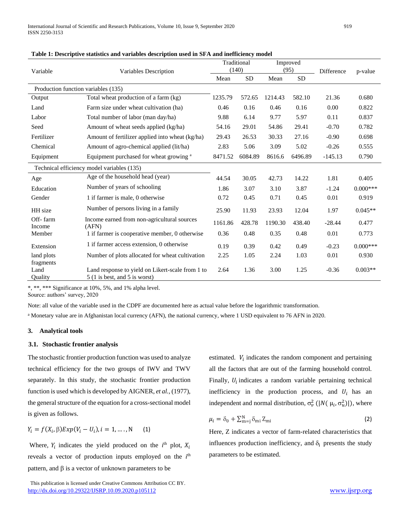| Variable                                   | Variables Description                                                                 | Traditional<br>(140) |           | Improved<br>(95) |           | Difference | p-value    |
|--------------------------------------------|---------------------------------------------------------------------------------------|----------------------|-----------|------------------|-----------|------------|------------|
|                                            |                                                                                       | Mean                 | <b>SD</b> | Mean             | <b>SD</b> |            |            |
| Production function variables (135)        |                                                                                       |                      |           |                  |           |            |            |
| Output                                     | Total wheat production of a farm (kg)                                                 | 1235.79              | 572.65    | 1214.43          | 582.10    | 21.36      | 0.680      |
| Land                                       | Farm size under wheat cultivation (ha)                                                | 0.46                 | 0.16      | 0.46             | 0.16      | 0.00       | 0.822      |
| Labor                                      | Total number of labor (man day/ha)                                                    | 9.88                 | 6.14      | 9.77             | 5.97      | 0.11       | 0.837      |
| Seed                                       | Amount of wheat seeds applied (kg/ha)                                                 | 54.16                | 29.01     | 54.86            | 29.41     | $-0.70$    | 0.782      |
| Fertilizer                                 | Amount of fertilizer applied into wheat (kg/ha)                                       | 29.43                | 26.53     | 30.33            | 27.16     | $-0.90$    | 0.698      |
| Chemical                                   | Amount of agro-chemical applied (lit/ha)                                              | 2.83                 | 5.06      | 3.09             | 5.02      | $-0.26$    | 0.555      |
| Equipment                                  | Equipment purchased for wheat growing <sup>a</sup>                                    | 8471.52              | 6084.89   | 8616.6           | 6496.89   | $-145.13$  | 0.790      |
| Technical efficiency model variables (135) |                                                                                       |                      |           |                  |           |            |            |
| Age                                        | Age of the household head (year)                                                      | 44.54                | 30.05     | 42.73            | 14.22     | 1.81       | 0.405      |
| Education                                  | Number of years of schooling                                                          | 1.86                 | 3.07      | 3.10             | 3.87      | $-1.24$    | $0.000***$ |
| Gender                                     | 1 if farmer is male, 0 otherwise                                                      | 0.72                 | 0.45      | 0.71             | 0.45      | 0.01       | 0.919      |
| HH size                                    | Number of persons living in a family                                                  | 25.90                | 11.93     | 23.93            | 12.04     | 1.97       | $0.045**$  |
| Off-farm<br>Income                         | Income earned from non-agricultural sources<br>(AFN)                                  | 1161.86              | 428.78    | 1190.30          | 438.40    | $-28.44$   | 0.477      |
| Member                                     | 1 if farmer is cooperative member, 0 otherwise                                        | 0.36                 | 0.48      | 0.35             | 0.48      | 0.01       | 0.773      |
| Extension                                  | 1 if farmer access extension, 0 otherwise                                             | 0.19                 | 0.39      | 0.42             | 0.49      | $-0.23$    | $0.000***$ |
| land plots<br>fragments                    | Number of plots allocated for wheat cultivation                                       | 2.25                 | 1.05      | 2.24             | 1.03      | 0.01       | 0.930      |
| Land<br>Ouality                            | Land response to yield on Likert-scale from 1 to<br>$5(1)$ is best, and $5$ is worst) | 2.64                 | 1.36      | 3.00             | 1.25      | $-0.36$    | $0.003**$  |

**Table 1: Descriptive statistics and variables description used in SFA and inefficiency model**

\*, \*\*, \*\*\* Significance at 10%, 5%, and 1% alpha level.

Source: authors' survey, 2020

Note: all value of the variable used in the CDPF are documented here as actual value before the logarithmic transformation.

<sup>a</sup> Monetary value are in Afghanistan local currency (AFN), the national currency, where 1 USD equivalent to 76 AFN in 2020.

## **3. Analytical tools**

### **3.1. Stochastic frontier analysis**

The stochastic frontier production function was used to analyze technical efficiency for the two groups of IWV and TWV separately. In this study, the stochastic frontier production function is used which is developed by AIGNER, *et al.,* (1977), the general structure of the equation for a cross-sectional model is given as follows.

$$
Y_i = f(X_i, \beta) Exp(V_i - U_i), i = 1, ..., N
$$
 (1)

Where,  $Y_i$  indicates the yield produced on the  $i^{\text{th}}$  plot,  $X_i$ reveals a vector of production inputs employed on the *i*<sup>th</sup> pattern, and  $\beta$  is a vector of unknown parameters to be

estimated.  $V_i$  indicates the random component and pertaining all the factors that are out of the farming household control. Finally,  $U_i$  indicates a random variable pertaining technical inefficiency in the production process, and  $U_i$  has an independent and normal distribution,  $\sigma_v^2$  (|N( $\mu_i$ ,  $\sigma_u^2$ )|), where

$$
\mu_i = \delta_0 + \sum_{m=j}^{N} \delta_{mi} Z_{mi}
$$
 (2)

Here, Z indicates a vector of farm-related characteristics that influences production inefficiency, and  $\delta_i$  presents the study parameters to be estimated.

This publication is licensed under Creative Commons Attribution CC BY. <http://dx.doi.org/10.29322/IJSRP.10.09.2020.p105112> [www.ijsrp.org](http://ijsrp.org/)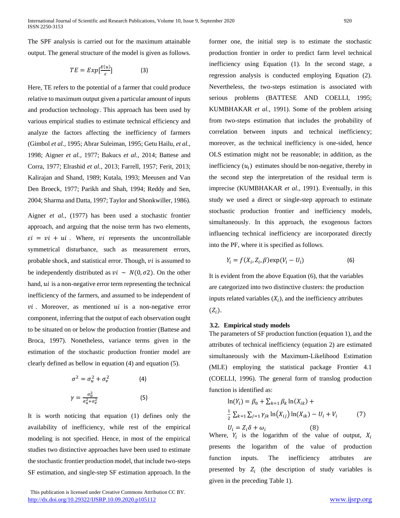The SPF analysis is carried out for the maximum attainable output. The general structure of the model is given as follows.

$$
TE = Exp[\frac{E(u)}{\varepsilon}]
$$
 (3)

Here, TE refers to the potential of a farmer that could produce relative to maximum output given a particular amount of inputs and production technology. This approach has been used by various empirical studies to estimate technical efficiency and analyze the factors affecting the inefficiency of farmers (Gimbol *et al.,* 1995; Abrar Suleiman, 1995; Getu Hailu, *et al.,* 1998; Aigner *et al.,* 1977; Bakucs *et al.,* 2014; Battese and Corra, 1977; Elrashid *et al.,* 2013; Farrell, 1957; Ferit, 2013; Kalirajan and Shand, 1989; Kutala, 1993; Meeusen and Van Den Broeck, 1977; Parikh and Shah, 1994; Reddy and Sen, 2004; Sharma and Datta, 1997; Taylor and Shonkwiller, 1986).

Aigner *et al.,* (1977) has been used a stochastic frontier approach, and arguing that the noise term has two elements,  $\epsilon i = vi + ui$ . Where, *vi* represents the uncontrollable symmetrical disturbance, such as measurement errors, probable shock, and statistical error. Though,  $vi$  is assumed to be independently distributed as  $vi \sim N(0, \sigma^2)$ . On the other hand,  $ui$  is a non-negative error term representing the technical inefficiency of the farmers, and assumed to be independent of  $vi$ . Moreover, as mentioned  $ui$  is a non-negative error component, inferring that the output of each observation ought to be situated on or below the production frontier (Battese and Broca, 1997). Nonetheless, variance terms given in the estimation of the stochastic production frontier model are clearly defined as bellow in equation (4) and equation (5).

$$
\sigma^2 = \sigma_u^2 + \sigma_v^2
$$
 (4)  

$$
\gamma = \frac{\sigma_u^2}{\sigma_u^2 + \sigma_v^2}
$$
 (5)

It is worth noticing that equation (1) defines only the availability of inefficiency, while rest of the empirical modeling is not specified. Hence, in most of the empirical studies two distinctive approaches have been used to estimate the stochastic frontier production model, that include two-steps SF estimation, and single-step SF estimation approach. In the

 This publication is licensed under Creative Commons Attribution CC BY. <http://dx.doi.org/10.29322/IJSRP.10.09.2020.p105112> [www.ijsrp.org](http://ijsrp.org/)

former one, the initial step is to estimate the stochastic production frontier in order to predict farm level technical inefficiency using Equation (1). In the second stage, a regression analysis is conducted employing Equation (2). Nevertheless, the two-steps estimation is associated with serious problems (BATTESE AND COELLI, 1995; KUMBHAKAR *et al.*, 1991). Some of the problem arising from two-steps estimation that includes the probability of correlation between inputs and technical inefficiency; moreover, as the technical inefficiency is one-sided, hence OLS estimation might not be reasonable; in addition, as the inefficiency  $(u_i)$  estimates should be non-negative, thereby in the second step the interpretation of the residual term is imprecise (KUMBHAKAR *et al.,* 1991). Eventually, in this study we used a direct or single-step approach to estimate stochastic production frontier and inefficiency models, simultaneously. In this approach, the exogenous factors influencing technical inefficiency are incorporated directly into the PF, where it is specified as follows.

$$
Y_i = f(X_i, Z_i, \beta) \exp(V_i - U_i)
$$
 (6)

It is evident from the above Equation (6), that the variables are categorized into two distinctive clusters: the production inputs related variables  $(X_i)$ , and the inefficiency attributes  $(Z_i)$ .

### **3.2. Empirical study models**

The parameters of SF production function (equation 1), and the attributes of technical inefficiency (equation 2) are estimated simultaneously with the Maximum-Likelihood Estimation (MLE) employing the statistical package Frontier 4.1 (COELLI, 1996). The general form of translog production function is identified as:

$$
\ln(Y_i) = \beta_0 + \sum_{k=1} \beta_k \ln(X_{ik}) +
$$
  
\n
$$
\frac{1}{2} \sum_{k=1} \sum_{j=1} \gamma_{jk} \ln(X_{ij}) \ln(X_{ik}) - U_i + V_i
$$
 (7)  
\n
$$
U_i = Z_i \delta + \omega_i
$$
 (8)

Where,  $Y_i$  is the logarithm of the value of output,  $X_i$ presents the logarithm of the value of production function inputs. The inefficiency attributes are presented by  $Z_i$  (the description of study variables is given in the preceding Table 1).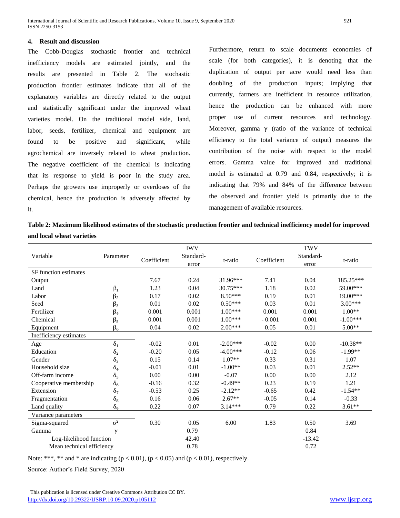#### **4. Result and discussion**

The Cobb-Douglas stochastic frontier and technical inefficiency models are estimated jointly, and the results are presented in Table 2. The stochastic production frontier estimates indicate that all of the explanatory variables are directly related to the output and statistically significant under the improved wheat varieties model. On the traditional model side, land, labor, seeds, fertilizer, chemical and equipment are found to be positive and significant, while agrochemical are inversely related to wheat production. The negative coefficient of the chemical is indicating that its response to yield is poor in the study area. Perhaps the growers use improperly or overdoses of the chemical, hence the production is adversely affected by it.

Furthermore, return to scale documents economies of scale (for both categories), it is denoting that the duplication of output per acre would need less than doubling of the production inputs; implying that currently, farmers are inefficient in resource utilization, hence the production can be enhanced with more proper use of current resources and technology. Moreover, gamma  $\gamma$  (ratio of the variance of technical efficiency to the total variance of output) measures the contribution of the noise with respect to the model errors. Gamma value for improved and traditional model is estimated at 0.79 and 0.84, respectively; it is indicating that 79% and 84% of the difference between the observed and frontier yield is primarily due to the management of available resources.

**Table 2: Maximum likelihood estimates of the stochastic production frontier and technical inefficiency model for improved and local wheat varieties** 

|                           |              | <b>IWV</b>  |                    |            | <b>TWV</b>  |                    |            |  |
|---------------------------|--------------|-------------|--------------------|------------|-------------|--------------------|------------|--|
| Variable                  | Parameter    | Coefficient | Standard-<br>error | t-ratio    | Coefficient | Standard-<br>error | t-ratio    |  |
| SF function estimates     |              |             |                    |            |             |                    |            |  |
| Output                    |              | 7.67        | 0.24               | 31.96***   | 7.41        | 0.04               | 185.25***  |  |
| Land                      | $\beta_1$    | 1.23        | 0.04               | 30.75***   | 1.18        | 0.02               | 59.00***   |  |
| Labor                     | $\beta_2$    | 0.17        | 0.02               | $8.50***$  | 0.19        | 0.01               | $19.00***$ |  |
| Seed                      | $\beta_3$    | 0.01        | 0.02               | $0.50***$  | 0.03        | 0.01               | $3.00***$  |  |
| Fertilizer                | $\beta_4$    | 0.001       | 0.001              | $1.00***$  | 0.001       | 0.001              | $1.00**$   |  |
| Chemical                  | $\beta_5$    | 0.001       | 0.001              | $1.00***$  | $-0.001$    | 0.001              | $-1.00***$ |  |
| Equipment                 | $\beta_6$    | 0.04        | $0.02\,$           | $2.00***$  | 0.05        | 0.01               | 5.00**     |  |
| Inefficiency estimates    |              |             |                    |            |             |                    |            |  |
| Age                       | $\delta_1$   | $-0.02$     | 0.01               | $-2.00***$ | $-0.02$     | 0.00               | $-10.38**$ |  |
| Education                 | $\delta_2$   | $-0.20$     | 0.05               | $-4.00***$ | $-0.12$     | 0.06               | $-1.99**$  |  |
| Gender                    | $\delta_3$   | 0.15        | 0.14               | $1.07**$   | 0.33        | 0.31               | 1.07       |  |
| Household size            | $\delta_4$   | $-0.01$     | 0.01               | $-1.00**$  | 0.03        | 0.01               | $2.52**$   |  |
| Off-farm income           | $\delta_5$   | 0.00        | 0.00               | $-0.07$    | 0.00        | 0.00               | 2.12       |  |
| Cooperative membership    | $\delta_6$   | $-0.16$     | 0.32               | $-0.49**$  | 0.23        | 0.19               | 1.21       |  |
| Extension                 | $\delta_7$   | $-0.53$     | 0.25               | $-2.12**$  | $-0.65$     | 0.42               | $-1.54**$  |  |
| Fragmentation             | $\delta_8$   | 0.16        | 0.06               | $2.67**$   | $-0.05$     | 0.14               | $-0.33$    |  |
| Land quality              | $\delta_{9}$ | 0.22        | 0.07               | $3.14***$  | 0.79        | 0.22               | $3.61**$   |  |
| Variance parameters       |              |             |                    |            |             |                    |            |  |
| Sigma-squared             | $\sigma^2$   | 0.30        | 0.05               | 6.00       | 1.83        | 0.50               | 3.69       |  |
| Gamma                     | $\mathcal V$ |             | 0.79               |            |             | 0.84               |            |  |
| Log-likelihood function   |              |             | 42.40              |            |             | $-13.42$           |            |  |
| Mean technical efficiency |              |             | 0.78               |            |             | 0.72               |            |  |

Note: \*\*\*, \*\* and \* are indicating  $(p < 0.01)$ ,  $(p < 0.05)$  and  $(p < 0.01)$ , respectively.

Source: Author's Field Survey, 2020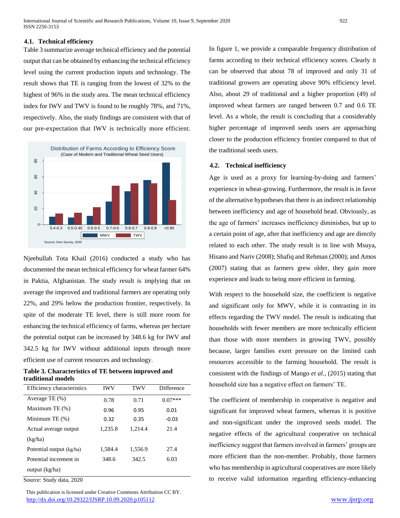#### **4.1. Technical efficiency**

Table 3 summarize average technical efficiency and the potential output that can be obtained by enhancing the technical efficiency level using the current production inputs and technology. The result shows that TE is ranging from the lowest of 32% to the highest of 96% in the study area. The mean technical efficiency index for IWV and TWV is found to be roughly 78%, and 71%, respectively. Also, the study findings are consistent with that of our pre-expectation that IWV is technically more efficient.



Njeebullah Tota Khail (2016) conducted a study who has documented the mean technical efficiency for wheat farmer 64% in Paktia, Afghanistan. The study result is implying that on average the improved and traditional farmers are operating only 22%, and 29% below the production frontier, respectively. In spite of the moderate TE level, there is still more room for enhancing the technical efficiency of farms, whereas per hectare the potential output can be increased by 348.6 kg for IWV and 342.5 kg for IWV without additional inputs through more efficient use of current resources and technology.

**Table 3. Characteristics of TE between improved and traditional models** 

| Efficiency characteristics | <b>IWV</b> | <b>TWV</b> | Difference |
|----------------------------|------------|------------|------------|
| Average TE $(\%)$          | 0.78       | 0.71       | $0.07***$  |
| Maximum TE (%)             | 0.96       | 0.95       | 0.01       |
| Minimum TE $(\%)$          | 0.32       | 0.35       | $-0.03$    |
| Actual average output      | 1,235.8    | 1,214.4    | 21.4       |
| (kg/ha)                    |            |            |            |
| Potential output (kg/ha)   | 1.584.4    | 1,556.9    | 27.4       |
| Potential increment in     | 348.6      | 342.5      | 6.03       |
| output (kg/ha)             |            |            |            |

Source: Study data, 2020

 This publication is licensed under Creative Commons Attribution CC BY. <http://dx.doi.org/10.29322/IJSRP.10.09.2020.p105112> [www.ijsrp.org](http://ijsrp.org/)

In figure 1, we provide a comparable frequency distribution of farms according to their technical efficiency scores. Clearly it can be observed that about 78 of improved and only 31 of traditional growers are operating above 90% efficiency level. Also, about 29 of traditional and a higher proportion (49) of improved wheat farmers are ranged between 0.7 and 0.6 TE level. As a whole, the result is concluding that a considerably higher percentage of improved seeds users are approaching closer to the production efficiency frontier compared to that of the traditional seeds users.

#### **4.2. Technical inefficiency**

Age is used as a proxy for learning-by-doing and farmers' experience in wheat-growing. Furthermore, the result is in favor of the alternative hypotheses that there is an indirect relationship between inefficiency and age of household head. Obviously, as the age of farmers' increases inefficiency diminishes, but up to a certain point of age, after that inefficiency and age are directly related to each other. The study result is in line with Msuya, Hisano and Nariv (2008); Shafiq and Rehman (2000); and Amos (2007) stating that as farmers grew older, they gain more experience and leads to being more efficient in farming.

With respect to the household size, the coefficient is negative and significant only for MWV, while it is contrasting in its effects regarding the TWV model. The result is indicating that households with fewer members are more technically efficient than those with more members in growing TWV, possibly because, larger families exert pressure on the limited cash resources accessible to the farming household. The result is consistent with the findings of Mango *et al.*, (2015) stating that household size has a negative effect on farmers' TE.

The coefficient of membership in cooperative is negative and significant for improved wheat farmers, whereas it is positive and non-significant under the improved seeds model. The negative effects of the agricultural cooperative on technical inefficiency suggest that farmers involved in farmers' groups are more efficient than the non-member. Probably, those farmers who has membership in agricultural cooperatives are more likely to receive valid information regarding efficiency-enhancing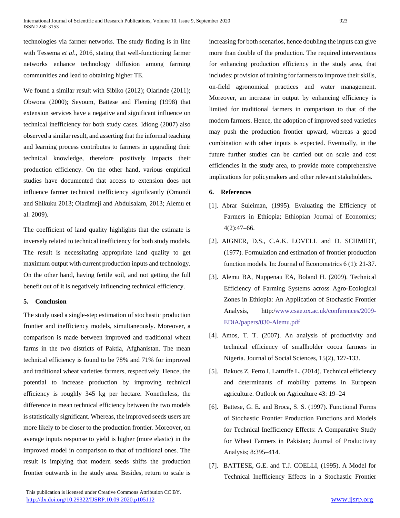technologies via farmer networks. The study finding is in line with Tessema *et al*., 2016, stating that well-functioning farmer networks enhance technology diffusion among farming communities and lead to obtaining higher TE.

We found a similar result with Sibiko (2012); Olarinde (2011); Obwona (2000); Seyoum, Battese and Fleming (1998) that extension services have a negative and significant influence on technical inefficiency for both study cases. Idiong (2007) also observed a similar result, and asserting that the informal teaching and learning process contributes to farmers in upgrading their technical knowledge, therefore positively impacts their production efficiency. On the other hand, various empirical studies have documented that access to extension does not influence farmer technical inefficiency significantly (Omondi and Shikuku 2013; Oladimeji and Abdulsalam, 2013; Alemu et al. 2009).

The coefficient of land quality highlights that the estimate is inversely related to technical inefficiency for both study models. The result is necessitating appropriate land quality to get maximum output with current production inputs and technology. On the other hand, having fertile soil, and not getting the full benefit out of it is negatively influencing technical efficiency.

#### **5. Conclusion**

The study used a single-step estimation of stochastic production frontier and inefficiency models, simultaneously. Moreover, a comparison is made between improved and traditional wheat farms in the two districts of Paktia, Afghanistan. The mean technical efficiency is found to be 78% and 71% for improved and traditional wheat varieties farmers, respectively. Hence, the potential to increase production by improving technical efficiency is roughly 345 kg per hectare. Nonetheless, the difference in mean technical efficiency between the two models is statistically significant. Whereas, the improved seeds users are more likely to be closer to the production frontier. Moreover, on average inputs response to yield is higher (more elastic) in the improved model in comparison to that of traditional ones. The result is implying that modern seeds shifts the production frontier outwards in the study area. Besides, return to scale is

increasing for both scenarios, hence doubling the inputs can give more than double of the production. The required interventions for enhancing production efficiency in the study area, that includes: provision of training for farmers to improve their skills, on-field agronomical practices and water management. Moreover, an increase in output by enhancing efficiency is limited for traditional farmers in comparison to that of the modern farmers. Hence, the adoption of improved seed varieties may push the production frontier upward, whereas a good combination with other inputs is expected. Eventually, in the future further studies can be carried out on scale and cost efficiencies in the study area, to provide more comprehensive implications for policymakers and other relevant stakeholders.

#### **6. References**

- [1]. Abrar Suleiman, (1995). Evaluating the Efficiency of Farmers in Ethiopia; Ethiopian Journal of Economics; 4(2):47–66.
- [2]. AIGNER, D.S., C.A.K. LOVELL and D. SCHMIDT, (1977). Formulation and estimation of frontier production function models. In: Journal of Econometrics 6 (1): 21-37.
- [3]. Alemu BA, Nuppenau EA, Boland H. (2009). Technical Efficiency of Farming Systems across Agro-Ecological Zones in Ethiopia: An Application of Stochastic Frontier Analysis, http:/www.csae.ox.ac.uk/conferences/2009- EDiA/papers/030-Alemu.pdf
- [4]. Amos, T. T. (2007). An analysis of productivity and technical efficiency of smallholder cocoa farmers in Nigeria. Journal of Social Sciences, 15(2), 127-133.
- [5]. Bakucs Z, Ferto I, Latruffe L. (2014). Technical efficiency and determinants of mobility patterns in European agriculture. Outlook on Agriculture 43: 19–24
- [6]. Battese, G. E. and Broca, S. S. (1997). Functional Forms of Stochastic Frontier Production Functions and Models for Technical Inefficiency Effects: A Comparative Study for Wheat Farmers in Pakistan; Journal of Productivity Analysis; 8:395–414.
- [7]. BATTESE, G.E. and T.J. COELLI, (1995). A Model for Technical Inefficiency Effects in a Stochastic Frontier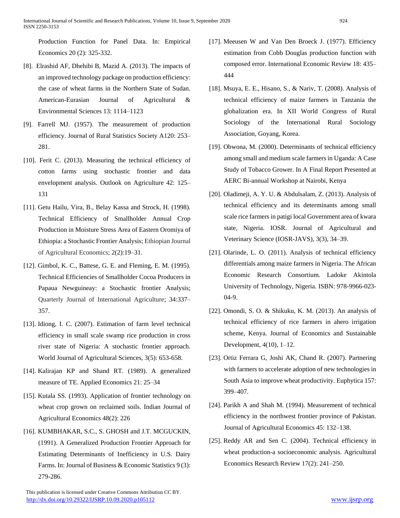Production Function for Panel Data. In: Empirical Economics 20 (2): 325-332.

- [8]. Elrashid AF, Dhehibi B, Mazid A. (2013). The impacts of an improved technology package on production efficiency: the case of wheat farms in the Northern State of Sudan. American-Eurasian Journal of Agricultural & Environmental Sciences 13: 1114–1123
- [9]. Farrell MJ. (1957). The measurement of production efficiency. Journal of Rural Statistics Society A120: 253– 281.
- [10]. Ferit C. (2013). Measuring the technical efficiency of cotton farms using stochastic frontier and data envelopment analysis. Outlook on Agriculture 42: 125– 131
- [11]. Getu Hailu, Vira, B., Belay Kassa and Strock, H. (1998). Technical Efficiency of Smallholder Annual Crop Production in Moisture Stress Area of Eastern Oromiya of Ethiopia: a Stochastic Frontier Analysis; Ethiopian Journal of Agricultural Economics; 2(2):19–31.
- [12]. Gimbol, K. C., Battese, G. E. and Fleming, E. M. (1995). Technical Efficiencies of Smallholder Cocoa Producers in Papaua Newguineay: a Stochastic frontier Analysis; Quarterly Journal of International Agriculture; 34:337– 357.
- [13]. Idiong, I. C. (2007). Estimation of farm level technical efficiency in small scale swamp rice production in cross river state of Nigeria: A stochastic frontier approach. World Journal of Agricultural Sciences, 3(5): 653-658.
- [14]. Kalirajan KP and Shand RT. (1989). A generalized measure of TE. Applied Economics 21: 25–34
- [15]. Kutala SS. (1993). Application of frontier technology on wheat crop grown on reclaimed soils. Indian Journal of Agricultural Economics 48(2): 226
- [16]. KUMBHAKAR, S.C., S. GHOSH and J.T. MCGUCKIN, (1991). A Generalized Production Frontier Approach for Estimating Determinants of Inefficiency in U.S. Dairy Farms. In: Journal of Business & Economic Statistics 9 (3): 279-286.
- [17]. Meeusen W and Van Den Broeck J. (1977). Efficiency estimation from Cobb Douglas production function with composed error. International Economic Review 18: 435– 444
- [18]. Msuya, E. E., Hisano, S., & Nariv, T. (2008). Analysis of technical efficiency of maize farmers in Tanzania the globalization era. In XII World Congress of Rural Sociology of the International Rural Sociology Association, Goyang, Korea.
- [19]. Obwona, M. (2000). Determinants of technical efficiency among small and medium scale farmers in Uganda: A Case Study of Tobacco Grower. In A Final Report Presented at AERC Bi-annual Workshop at Nairobi, Kenya
- [20]. Oladimeji, A. Y. U. & Abdulsalam, Z. (2013). Analysis of technical efficiency and its determinants among small scale rice farmers in patigi local Government area of kwara state, Nigeria. IOSR. Journal of Agricultural and Veterinary Science (IOSR-JAVS), 3(3), 34–39.
- [21]. Olarinde, L. O. (2011). Analysis of technical efficiency differentials among maize farmers in Nigeria. The African Economic Research Consortium. Ladoke Akintola University of Technology, Nigeria. ISBN: 978-9966-023- 04-9.
- [22]. Omondi, S. O. & Shikuku, K. M. (2013). An analysis of technical efficiency of rice farmers in ahero irrigation scheme, Kenya. Journal of Economics and Sustainable Development, 4(10), 1–12.
- [23]. Ortiz Ferrara G, Joshi AK, Chand R. (2007). Partnering with farmers to accelerate adoption of new technologies in South Asia to improve wheat productivity. Euphytica 157: 399–407.
- [24]. Parikh A and Shah M. (1994). Measurement of technical efficiency in the northwest frontier province of Pakistan. Journal of Agricultural Economics 45: 132–138.
- [25]. Reddy AR and Sen C. (2004). Technical efficiency in wheat production-a socioeconomic analysis. Agricultural Economics Research Review 17(2): 241–250.